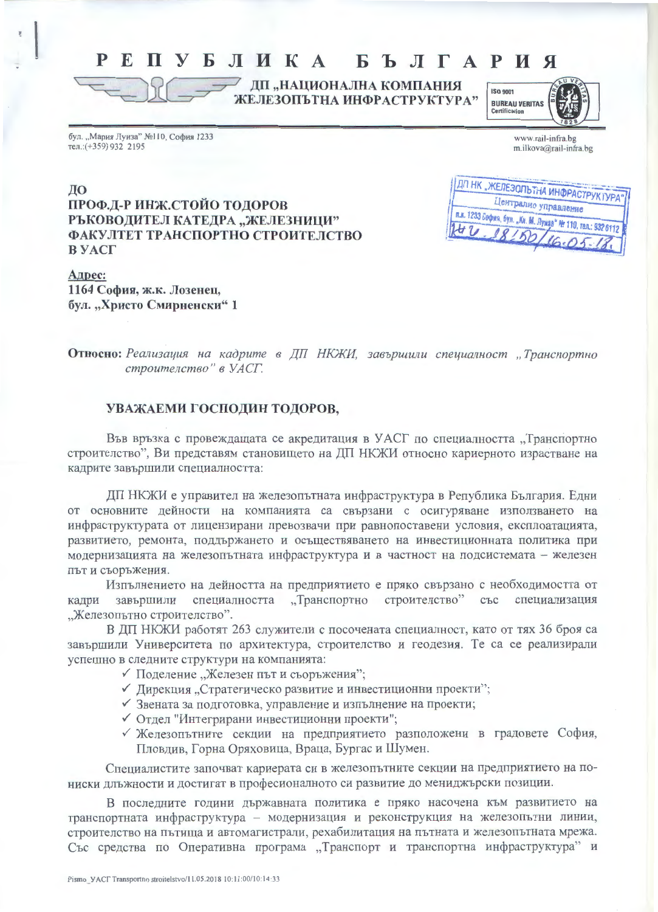## РЕПУБЛИКА БЪЛГАРИЯ

ДП "НАЦИОНАЛНА КОМПАНИЯ ЖЕЛЕЗОПЪТНА ИНФРАСТРУКТУРА"



бул. "Мария Луиза" №110, София 1233 тел.: (+359) 932 2195

| www.rail-infra.bg      |
|------------------------|
| m.ilkova@rail-infra.bg |

ДО ПРОФ.Д-Р ИНЖ.СТОЙО ТОДОРОВ РЪКОВОДИТЕЛ КАТЕДРА "ЖЕЛЕЗНИЦИ" ФАКУЛТЕТ ТРАНСПОРТНО СТРОИТЕЛСТВО В УАСГ

| ПДП НК "ЖЕЛЕЗОЛЬТНА ИНФРАСТРУКТУРА"<br>Централно управление |
|-------------------------------------------------------------|
| п.к. 1233 София, бул. "Ки. М. Лунда" № 110, тал.: 932 6112  |
|                                                             |
| $28150/16.05-18$                                            |

Адрес: 1164 София, ж.к. Лозенец, бул. "Христо Смирненски" 1

Относно: Реализация на кадрите в ДП НКЖИ, завършили специалност "Транспортно строителство" в УАСГ.

## УВАЖАЕМИ ГОСПОДИН ТОДОРОВ,

Във връзка с провеждащата се акредитация в УАСГ по специалността "Транспортно строителство", Ви представям становището на ДП НКЖИ относно кариерното израстване на кадрите завършили специалността:

ДП НКЖИ е управител на железопътната инфраструктура в Република България. Едни от основните дейности на компанията са свързани с осигуряване използването на инфраструктурата от лицензирани превозвачи при равнопоставени условия, експлоатацията, развитието, ремонта, поддържането и осъществяването на инвестиционната политика при модернизацията на железопътната инфраструктура и в частност на подсистемата - железен път и съоръжения.

Изпълнението на дейността на предприятието е пряко свързано с необходимостта от строителство" кадри завършили специалността "Транспортно със специализация "Железопътно строителство".

В ДП НКЖИ работят 263 служители с посочената специалност, като от тях 36 броя са завършили Университета по архитектура, строителство и геодезия. Те са се реализирали успешно в следните структури на компанията:

- √ Поделение "Железен път и съоръжения";
- √ Дирекция "Стратегическо развитие и инвестиционни проекти";
- √ Звената за подготовка, управление и изпълнение на проекти;
- √ Отдел "Интегрирани инвестиционни проекти";
- √ Железопътните секции на предприятието разположени в градовете София, Пловдив, Горна Оряховица, Враца, Бургас и Шумен.

Специалистите започват кариерата си в железопътните секции на предприятието на пониски длъжности и достигат в професионалното си развитие до мениджърски позиции.

В последните години държавната политика е пряко насочена към развитието на транспортната инфраструктура - модернизация и реконструкция на железопътни линии, строителство на пътища и автомагистрали, рехабилитация на пътната и железопътната мрежа. Със средства по Оперативна програма "Транспорт и транспортна инфраструктура" и